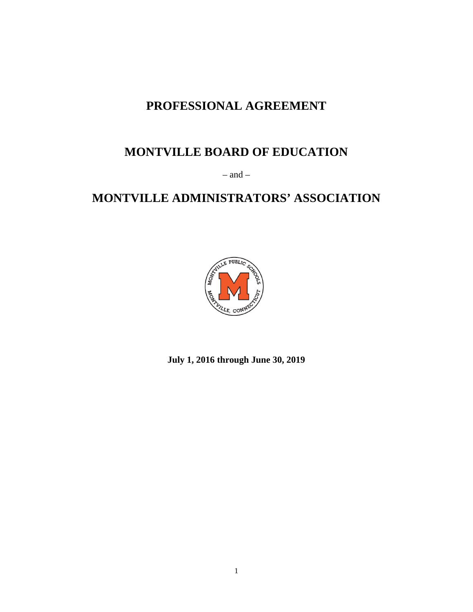# **PROFESSIONAL AGREEMENT**

# **MONTVILLE BOARD OF EDUCATION**

– and –

# **MONTVILLE ADMINISTRATORS' ASSOCIATION**



**July 1, 2016 through June 30, 2019**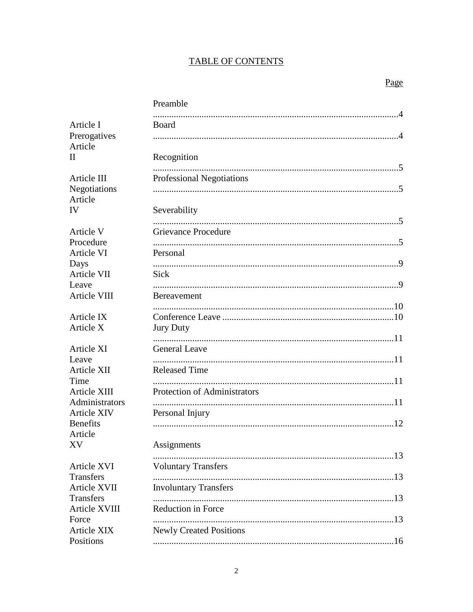# **TABLE OF CONTENTS**

|                                                  | Preamble                            |  |
|--------------------------------------------------|-------------------------------------|--|
| Article I<br>Prerogatives<br>Article<br>$\rm II$ | Board                               |  |
|                                                  | Recognition                         |  |
| Article III<br>Negotiations                      | <b>Professional Negotiations</b>    |  |
| Article<br>IV                                    | Severability                        |  |
| Article V<br>Procedure                           | <b>Grievance Procedure</b>          |  |
| Article VI<br>Days                               | Personal                            |  |
| Article VII<br>Leave                             | Sick                                |  |
| Article VIII                                     | <b>Bereavement</b>                  |  |
| Article IX<br>Article X                          | <b>Jury Duty</b>                    |  |
| Article XI                                       | <b>General Leave</b>                |  |
| Leave<br>Article XII<br>Time                     | <b>Released Time</b>                |  |
| Article XIII<br>Administrators                   | <b>Protection of Administrators</b> |  |
| <b>Article XIV</b><br><b>Benefits</b>            | Personal Injury                     |  |
| Article<br>XV.                                   | Assignments                         |  |
| <b>Article XVI</b>                               | <b>Voluntary Transfers</b>          |  |
| <b>Transfers</b><br>Article XVII<br>Transfers    | <b>Involuntary Transfers</b>        |  |
| Article XVIII<br>Force                           | Reduction in Force                  |  |
| Article XIX<br>Positions                         | <b>Newly Created Positions</b>      |  |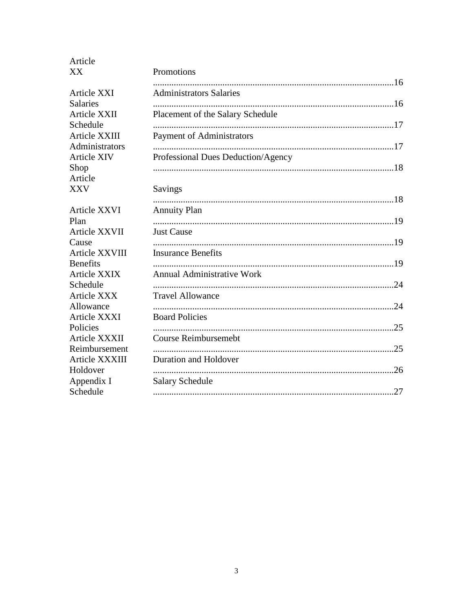| Article<br>XX                                                 | Promotions                                                   |
|---------------------------------------------------------------|--------------------------------------------------------------|
| <b>Article XXI</b>                                            | <b>Administrators Salaries</b>                               |
| <b>Salaries</b><br>Article XXII<br>Schedule                   | Placement of the Salary Schedule                             |
| Article XXIII<br>Administrators<br><b>Article XIV</b><br>Shop | Payment of Administrators                                    |
|                                                               | Professional Dues Deduction/Agency                           |
| Article<br><b>XXV</b>                                         | Savings                                                      |
| Article XXVI<br>Plan                                          | <b>Annuity Plan</b>                                          |
| Article XXVII<br>Cause                                        | <b>Just Cause</b>                                            |
| Article XXVIII<br><b>Benefits</b>                             | <b>Insurance Benefits</b>                                    |
| Article XXIX<br>Schedule<br><b>Article XXX</b>                | <b>Annual Administrative Work</b><br><b>Travel Allowance</b> |
| Allowance<br>Article XXXI                                     | <b>Board Policies</b>                                        |
| Policies<br>Article XXXII                                     | .25<br><b>Course Reimbursemebt</b>                           |
| Reimbursement<br>Article XXXIII                               | .25<br>Duration and Holdover                                 |
| Holdover<br>Appendix I                                        | .26<br><b>Salary Schedule</b>                                |
| Schedule                                                      |                                                              |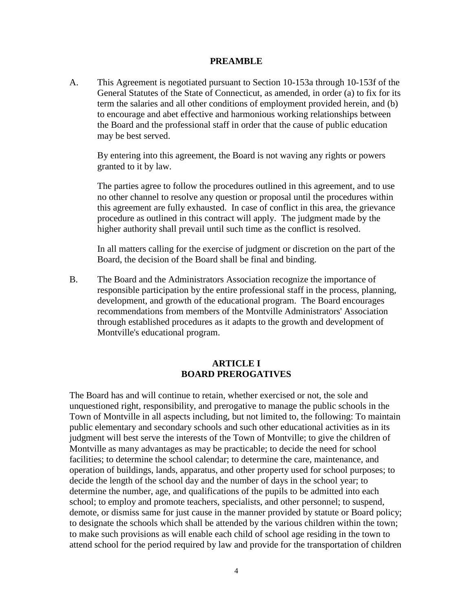#### **PREAMBLE**

A. This Agreement is negotiated pursuant to Section 10-153a through 10-153f of the General Statutes of the State of Connecticut, as amended, in order (a) to fix for its term the salaries and all other conditions of employment provided herein, and (b) to encourage and abet effective and harmonious working relationships between the Board and the professional staff in order that the cause of public education may be best served.

By entering into this agreement, the Board is not waving any rights or powers granted to it by law.

The parties agree to follow the procedures outlined in this agreement, and to use no other channel to resolve any question or proposal until the procedures within this agreement are fully exhausted. In case of conflict in this area, the grievance procedure as outlined in this contract will apply. The judgment made by the higher authority shall prevail until such time as the conflict is resolved.

In all matters calling for the exercise of judgment or discretion on the part of the Board, the decision of the Board shall be final and binding.

B. The Board and the Administrators Association recognize the importance of responsible participation by the entire professional staff in the process, planning, development, and growth of the educational program. The Board encourages recommendations from members of the Montville Administrators' Association through established procedures as it adapts to the growth and development of Montville's educational program.

#### **ARTICLE I BOARD PREROGATIVES**

The Board has and will continue to retain, whether exercised or not, the sole and unquestioned right, responsibility, and prerogative to manage the public schools in the Town of Montville in all aspects including, but not limited to, the following: To maintain public elementary and secondary schools and such other educational activities as in its judgment will best serve the interests of the Town of Montville; to give the children of Montville as many advantages as may be practicable; to decide the need for school facilities; to determine the school calendar; to determine the care, maintenance, and operation of buildings, lands, apparatus, and other property used for school purposes; to decide the length of the school day and the number of days in the school year; to determine the number, age, and qualifications of the pupils to be admitted into each school; to employ and promote teachers, specialists, and other personnel; to suspend, demote, or dismiss same for just cause in the manner provided by statute or Board policy; to designate the schools which shall be attended by the various children within the town; to make such provisions as will enable each child of school age residing in the town to attend school for the period required by law and provide for the transportation of children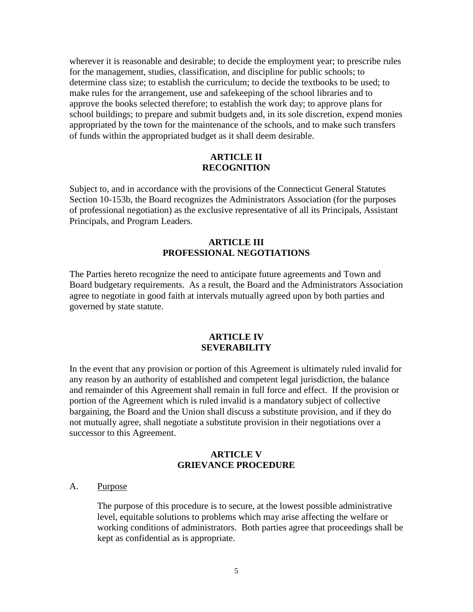wherever it is reasonable and desirable; to decide the employment year; to prescribe rules for the management, studies, classification, and discipline for public schools; to determine class size; to establish the curriculum; to decide the textbooks to be used; to make rules for the arrangement, use and safekeeping of the school libraries and to approve the books selected therefore; to establish the work day; to approve plans for school buildings; to prepare and submit budgets and, in its sole discretion, expend monies appropriated by the town for the maintenance of the schools, and to make such transfers of funds within the appropriated budget as it shall deem desirable.

#### **ARTICLE II RECOGNITION**

Subject to, and in accordance with the provisions of the Connecticut General Statutes Section 10-153b, the Board recognizes the Administrators Association (for the purposes of professional negotiation) as the exclusive representative of all its Principals, Assistant Principals, and Program Leaders.

#### **ARTICLE III PROFESSIONAL NEGOTIATIONS**

The Parties hereto recognize the need to anticipate future agreements and Town and Board budgetary requirements. As a result, the Board and the Administrators Association agree to negotiate in good faith at intervals mutually agreed upon by both parties and governed by state statute.

#### **ARTICLE IV SEVERABILITY**

In the event that any provision or portion of this Agreement is ultimately ruled invalid for any reason by an authority of established and competent legal jurisdiction, the balance and remainder of this Agreement shall remain in full force and effect. If the provision or portion of the Agreement which is ruled invalid is a mandatory subject of collective bargaining, the Board and the Union shall discuss a substitute provision, and if they do not mutually agree, shall negotiate a substitute provision in their negotiations over a successor to this Agreement.

### **ARTICLE V GRIEVANCE PROCEDURE**

#### A. Purpose

The purpose of this procedure is to secure, at the lowest possible administrative level, equitable solutions to problems which may arise affecting the welfare or working conditions of administrators. Both parties agree that proceedings shall be kept as confidential as is appropriate.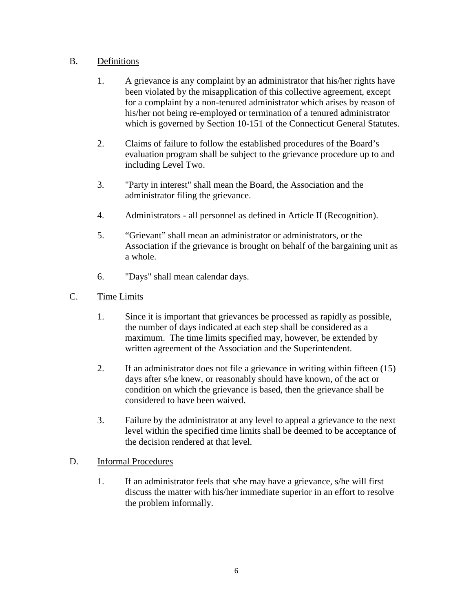## B. Definitions

- 1. A grievance is any complaint by an administrator that his/her rights have been violated by the misapplication of this collective agreement, except for a complaint by a non-tenured administrator which arises by reason of his/her not being re-employed or termination of a tenured administrator which is governed by Section 10-151 of the Connecticut General Statutes.
- 2. Claims of failure to follow the established procedures of the Board's evaluation program shall be subject to the grievance procedure up to and including Level Two.
- 3. "Party in interest" shall mean the Board, the Association and the administrator filing the grievance.
- 4. Administrators all personnel as defined in Article II (Recognition).
- 5. "Grievant" shall mean an administrator or administrators, or the Association if the grievance is brought on behalf of the bargaining unit as a whole.
- 6. "Days" shall mean calendar days.
- C. Time Limits
	- 1. Since it is important that grievances be processed as rapidly as possible, the number of days indicated at each step shall be considered as a maximum. The time limits specified may, however, be extended by written agreement of the Association and the Superintendent.
	- 2. If an administrator does not file a grievance in writing within fifteen (15) days after s/he knew, or reasonably should have known, of the act or condition on which the grievance is based, then the grievance shall be considered to have been waived.
	- 3. Failure by the administrator at any level to appeal a grievance to the next level within the specified time limits shall be deemed to be acceptance of the decision rendered at that level.

## D. Informal Procedures

1. If an administrator feels that s/he may have a grievance, s/he will first discuss the matter with his/her immediate superior in an effort to resolve the problem informally.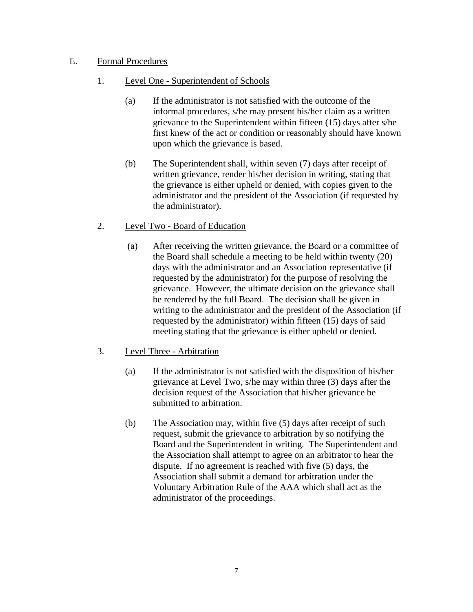## E. Formal Procedures

- 1. Level One Superintendent of Schools
	- (a) If the administrator is not satisfied with the outcome of the informal procedures, s/he may present his/her claim as a written grievance to the Superintendent within fifteen (15) days after s/he first knew of the act or condition or reasonably should have known upon which the grievance is based.
	- (b) The Superintendent shall, within seven (7) days after receipt of written grievance, render his/her decision in writing, stating that the grievance is either upheld or denied, with copies given to the administrator and the president of the Association (if requested by the administrator).
- 2. Level Two Board of Education
	- (a) After receiving the written grievance, the Board or a committee of the Board shall schedule a meeting to be held within twenty (20) days with the administrator and an Association representative (if requested by the administrator) for the purpose of resolving the grievance. However, the ultimate decision on the grievance shall be rendered by the full Board. The decision shall be given in writing to the administrator and the president of the Association (if requested by the administrator) within fifteen (15) days of said meeting stating that the grievance is either upheld or denied.
- 3. Level Three Arbitration
	- (a) If the administrator is not satisfied with the disposition of his/her grievance at Level Two, s/he may within three (3) days after the decision request of the Association that his/her grievance be submitted to arbitration.
	- (b) The Association may, within five (5) days after receipt of such request, submit the grievance to arbitration by so notifying the Board and the Superintendent in writing. The Superintendent and the Association shall attempt to agree on an arbitrator to hear the dispute. If no agreement is reached with five (5) days, the Association shall submit a demand for arbitration under the Voluntary Arbitration Rule of the AAA which shall act as the administrator of the proceedings.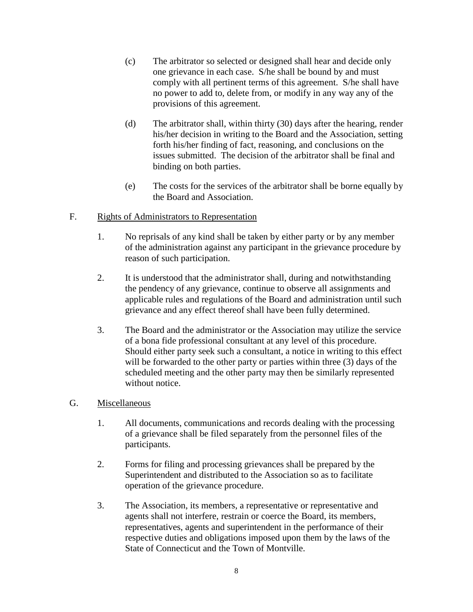- (c) The arbitrator so selected or designed shall hear and decide only one grievance in each case. S/he shall be bound by and must comply with all pertinent terms of this agreement. S/he shall have no power to add to, delete from, or modify in any way any of the provisions of this agreement.
- (d) The arbitrator shall, within thirty (30) days after the hearing, render his/her decision in writing to the Board and the Association, setting forth his/her finding of fact, reasoning, and conclusions on the issues submitted. The decision of the arbitrator shall be final and binding on both parties.
- (e) The costs for the services of the arbitrator shall be borne equally by the Board and Association.

## F. Rights of Administrators to Representation

- 1. No reprisals of any kind shall be taken by either party or by any member of the administration against any participant in the grievance procedure by reason of such participation.
- 2. It is understood that the administrator shall, during and notwithstanding the pendency of any grievance, continue to observe all assignments and applicable rules and regulations of the Board and administration until such grievance and any effect thereof shall have been fully determined.
- 3. The Board and the administrator or the Association may utilize the service of a bona fide professional consultant at any level of this procedure. Should either party seek such a consultant, a notice in writing to this effect will be forwarded to the other party or parties within three (3) days of the scheduled meeting and the other party may then be similarly represented without notice.

#### G. Miscellaneous

- 1. All documents, communications and records dealing with the processing of a grievance shall be filed separately from the personnel files of the participants.
- 2. Forms for filing and processing grievances shall be prepared by the Superintendent and distributed to the Association so as to facilitate operation of the grievance procedure.
- 3. The Association, its members, a representative or representative and agents shall not interfere, restrain or coerce the Board, its members, representatives, agents and superintendent in the performance of their respective duties and obligations imposed upon them by the laws of the State of Connecticut and the Town of Montville.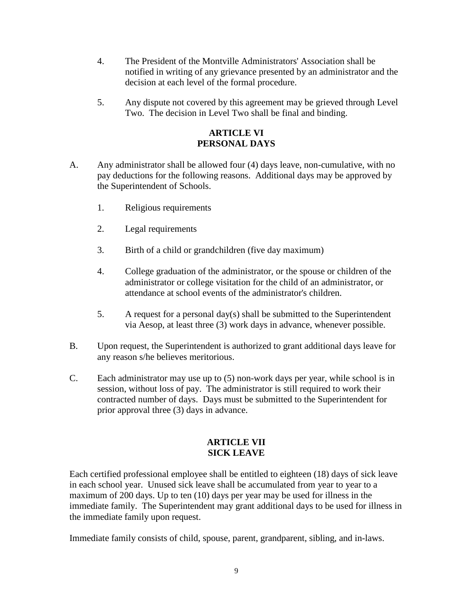- 4. The President of the Montville Administrators' Association shall be notified in writing of any grievance presented by an administrator and the decision at each level of the formal procedure.
- 5. Any dispute not covered by this agreement may be grieved through Level Two. The decision in Level Two shall be final and binding.

## **ARTICLE VI PERSONAL DAYS**

- A. Any administrator shall be allowed four (4) days leave, non-cumulative, with no pay deductions for the following reasons. Additional days may be approved by the Superintendent of Schools.
	- 1. Religious requirements
	- 2. Legal requirements
	- 3. Birth of a child or grandchildren (five day maximum)
	- 4. College graduation of the administrator, or the spouse or children of the administrator or college visitation for the child of an administrator, or attendance at school events of the administrator's children.
	- 5. A request for a personal day(s) shall be submitted to the Superintendent via Aesop, at least three (3) work days in advance, whenever possible.
- B. Upon request, the Superintendent is authorized to grant additional days leave for any reason s/he believes meritorious.
- C. Each administrator may use up to (5) non-work days per year, while school is in session, without loss of pay. The administrator is still required to work their contracted number of days. Days must be submitted to the Superintendent for prior approval three (3) days in advance.

# **ARTICLE VII SICK LEAVE**

Each certified professional employee shall be entitled to eighteen (18) days of sick leave in each school year. Unused sick leave shall be accumulated from year to year to a maximum of 200 days. Up to ten (10) days per year may be used for illness in the immediate family. The Superintendent may grant additional days to be used for illness in the immediate family upon request.

Immediate family consists of child, spouse, parent, grandparent, sibling, and in-laws.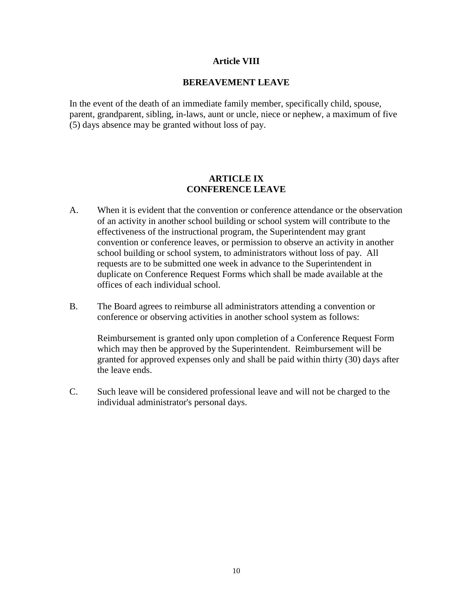#### **Article VIII**

#### **BEREAVEMENT LEAVE**

In the event of the death of an immediate family member, specifically child, spouse, parent, grandparent, sibling, in-laws, aunt or uncle, niece or nephew, a maximum of five (5) days absence may be granted without loss of pay.

## **ARTICLE IX CONFERENCE LEAVE**

- A. When it is evident that the convention or conference attendance or the observation of an activity in another school building or school system will contribute to the effectiveness of the instructional program, the Superintendent may grant convention or conference leaves, or permission to observe an activity in another school building or school system, to administrators without loss of pay. All requests are to be submitted one week in advance to the Superintendent in duplicate on Conference Request Forms which shall be made available at the offices of each individual school.
- B. The Board agrees to reimburse all administrators attending a convention or conference or observing activities in another school system as follows:

Reimbursement is granted only upon completion of a Conference Request Form which may then be approved by the Superintendent. Reimbursement will be granted for approved expenses only and shall be paid within thirty (30) days after the leave ends.

C. Such leave will be considered professional leave and will not be charged to the individual administrator's personal days.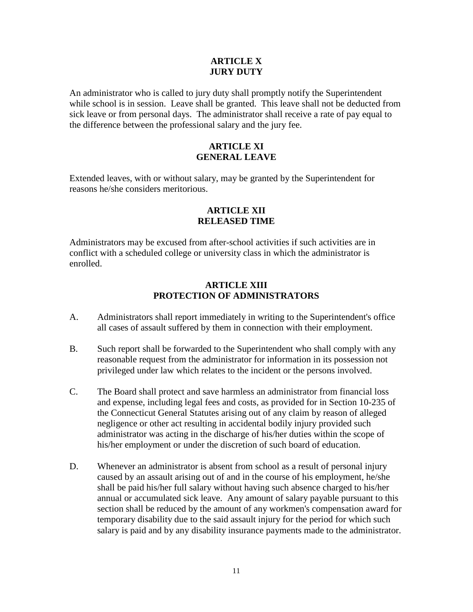#### **ARTICLE X JURY DUTY**

An administrator who is called to jury duty shall promptly notify the Superintendent while school is in session. Leave shall be granted. This leave shall not be deducted from sick leave or from personal days. The administrator shall receive a rate of pay equal to the difference between the professional salary and the jury fee.

## **ARTICLE XI GENERAL LEAVE**

Extended leaves, with or without salary, may be granted by the Superintendent for reasons he/she considers meritorious.

## **ARTICLE XII RELEASED TIME**

Administrators may be excused from after-school activities if such activities are in conflict with a scheduled college or university class in which the administrator is enrolled.

## **ARTICLE XIII PROTECTION OF ADMINISTRATORS**

- A. Administrators shall report immediately in writing to the Superintendent's office all cases of assault suffered by them in connection with their employment.
- B. Such report shall be forwarded to the Superintendent who shall comply with any reasonable request from the administrator for information in its possession not privileged under law which relates to the incident or the persons involved.
- C. The Board shall protect and save harmless an administrator from financial loss and expense, including legal fees and costs, as provided for in Section 10-235 of the Connecticut General Statutes arising out of any claim by reason of alleged negligence or other act resulting in accidental bodily injury provided such administrator was acting in the discharge of his/her duties within the scope of his/her employment or under the discretion of such board of education.
- D. Whenever an administrator is absent from school as a result of personal injury caused by an assault arising out of and in the course of his employment, he/she shall be paid his/her full salary without having such absence charged to his/her annual or accumulated sick leave. Any amount of salary payable pursuant to this section shall be reduced by the amount of any workmen's compensation award for temporary disability due to the said assault injury for the period for which such salary is paid and by any disability insurance payments made to the administrator.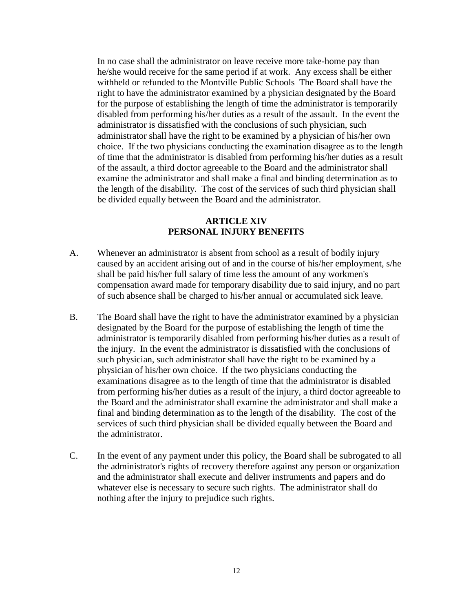In no case shall the administrator on leave receive more take-home pay than he/she would receive for the same period if at work. Any excess shall be either withheld or refunded to the Montville Public Schools The Board shall have the right to have the administrator examined by a physician designated by the Board for the purpose of establishing the length of time the administrator is temporarily disabled from performing his/her duties as a result of the assault. In the event the administrator is dissatisfied with the conclusions of such physician, such administrator shall have the right to be examined by a physician of his/her own choice. If the two physicians conducting the examination disagree as to the length of time that the administrator is disabled from performing his/her duties as a result of the assault, a third doctor agreeable to the Board and the administrator shall examine the administrator and shall make a final and binding determination as to the length of the disability. The cost of the services of such third physician shall be divided equally between the Board and the administrator.

#### **ARTICLE XIV PERSONAL INJURY BENEFITS**

- A. Whenever an administrator is absent from school as a result of bodily injury caused by an accident arising out of and in the course of his/her employment, s/he shall be paid his/her full salary of time less the amount of any workmen's compensation award made for temporary disability due to said injury, and no part of such absence shall be charged to his/her annual or accumulated sick leave.
- B. The Board shall have the right to have the administrator examined by a physician designated by the Board for the purpose of establishing the length of time the administrator is temporarily disabled from performing his/her duties as a result of the injury. In the event the administrator is dissatisfied with the conclusions of such physician, such administrator shall have the right to be examined by a physician of his/her own choice. If the two physicians conducting the examinations disagree as to the length of time that the administrator is disabled from performing his/her duties as a result of the injury, a third doctor agreeable to the Board and the administrator shall examine the administrator and shall make a final and binding determination as to the length of the disability. The cost of the services of such third physician shall be divided equally between the Board and the administrator.
- C. In the event of any payment under this policy, the Board shall be subrogated to all the administrator's rights of recovery therefore against any person or organization and the administrator shall execute and deliver instruments and papers and do whatever else is necessary to secure such rights. The administrator shall do nothing after the injury to prejudice such rights.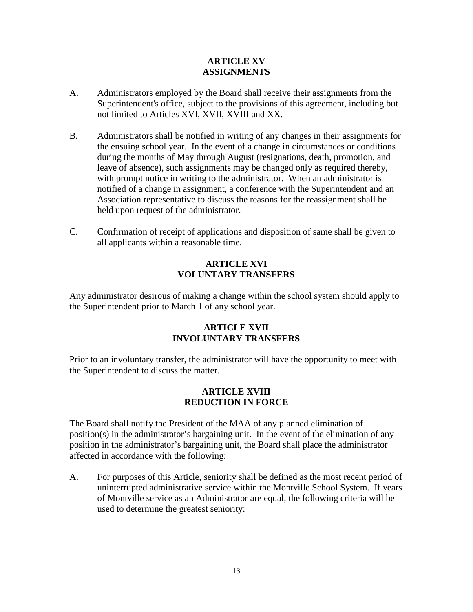## **ARTICLE XV ASSIGNMENTS**

- A. Administrators employed by the Board shall receive their assignments from the Superintendent's office, subject to the provisions of this agreement, including but not limited to Articles XVI, XVII, XVIII and XX.
- B. Administrators shall be notified in writing of any changes in their assignments for the ensuing school year. In the event of a change in circumstances or conditions during the months of May through August (resignations, death, promotion, and leave of absence), such assignments may be changed only as required thereby, with prompt notice in writing to the administrator. When an administrator is notified of a change in assignment, a conference with the Superintendent and an Association representative to discuss the reasons for the reassignment shall be held upon request of the administrator.
- C. Confirmation of receipt of applications and disposition of same shall be given to all applicants within a reasonable time.

## **ARTICLE XVI VOLUNTARY TRANSFERS**

Any administrator desirous of making a change within the school system should apply to the Superintendent prior to March 1 of any school year.

## **ARTICLE XVII INVOLUNTARY TRANSFERS**

Prior to an involuntary transfer, the administrator will have the opportunity to meet with the Superintendent to discuss the matter.

## **ARTICLE XVIII REDUCTION IN FORCE**

The Board shall notify the President of the MAA of any planned elimination of position(s) in the administrator's bargaining unit. In the event of the elimination of any position in the administrator's bargaining unit, the Board shall place the administrator affected in accordance with the following:

A. For purposes of this Article, seniority shall be defined as the most recent period of uninterrupted administrative service within the Montville School System. If years of Montville service as an Administrator are equal, the following criteria will be used to determine the greatest seniority: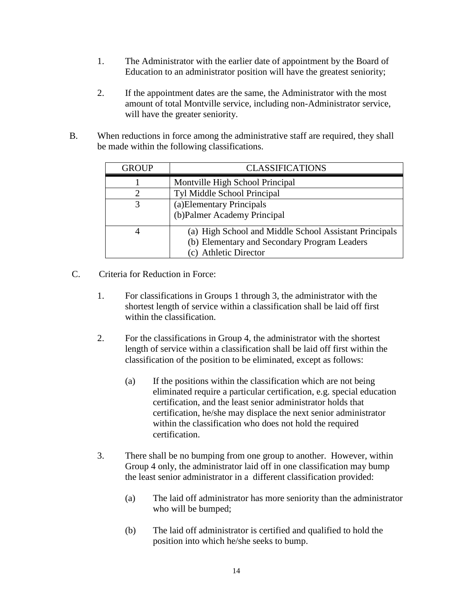- 1. The Administrator with the earlier date of appointment by the Board of Education to an administrator position will have the greatest seniority;
- 2. If the appointment dates are the same, the Administrator with the most amount of total Montville service, including non-Administrator service, will have the greater seniority.
- B. When reductions in force among the administrative staff are required, they shall be made within the following classifications.

| <b>GROUP</b> | <b>CLASSIFICATIONS</b>                                                                                                          |
|--------------|---------------------------------------------------------------------------------------------------------------------------------|
|              | Montville High School Principal                                                                                                 |
|              | Tyl Middle School Principal                                                                                                     |
|              | (a) Elementary Principals<br>(b)Palmer Academy Principal                                                                        |
|              | (a) High School and Middle School Assistant Principals<br>(b) Elementary and Secondary Program Leaders<br>(c) Athletic Director |

- C. Criteria for Reduction in Force:
	- 1. For classifications in Groups 1 through 3, the administrator with the shortest length of service within a classification shall be laid off first within the classification.
	- 2. For the classifications in Group 4, the administrator with the shortest length of service within a classification shall be laid off first within the classification of the position to be eliminated, except as follows:
		- (a) If the positions within the classification which are not being eliminated require a particular certification, e.g. special education certification, and the least senior administrator holds that certification, he/she may displace the next senior administrator within the classification who does not hold the required certification.
	- 3. There shall be no bumping from one group to another. However, within Group 4 only, the administrator laid off in one classification may bump the least senior administrator in a different classification provided:
		- (a) The laid off administrator has more seniority than the administrator who will be bumped;
		- (b) The laid off administrator is certified and qualified to hold the position into which he/she seeks to bump.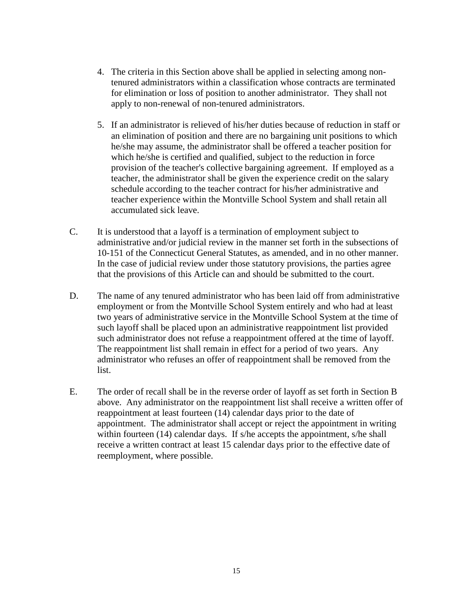- 4. The criteria in this Section above shall be applied in selecting among nontenured administrators within a classification whose contracts are terminated for elimination or loss of position to another administrator. They shall not apply to non-renewal of non-tenured administrators.
- 5. If an administrator is relieved of his/her duties because of reduction in staff or an elimination of position and there are no bargaining unit positions to which he/she may assume, the administrator shall be offered a teacher position for which he/she is certified and qualified, subject to the reduction in force provision of the teacher's collective bargaining agreement. If employed as a teacher, the administrator shall be given the experience credit on the salary schedule according to the teacher contract for his/her administrative and teacher experience within the Montville School System and shall retain all accumulated sick leave.
- C. It is understood that a layoff is a termination of employment subject to administrative and/or judicial review in the manner set forth in the subsections of 10-151 of the Connecticut General Statutes, as amended, and in no other manner. In the case of judicial review under those statutory provisions, the parties agree that the provisions of this Article can and should be submitted to the court.
- D. The name of any tenured administrator who has been laid off from administrative employment or from the Montville School System entirely and who had at least two years of administrative service in the Montville School System at the time of such layoff shall be placed upon an administrative reappointment list provided such administrator does not refuse a reappointment offered at the time of layoff. The reappointment list shall remain in effect for a period of two years. Any administrator who refuses an offer of reappointment shall be removed from the list.
- E. The order of recall shall be in the reverse order of layoff as set forth in Section B above. Any administrator on the reappointment list shall receive a written offer of reappointment at least fourteen (14) calendar days prior to the date of appointment. The administrator shall accept or reject the appointment in writing within fourteen (14) calendar days. If s/he accepts the appointment, s/he shall receive a written contract at least 15 calendar days prior to the effective date of reemployment, where possible.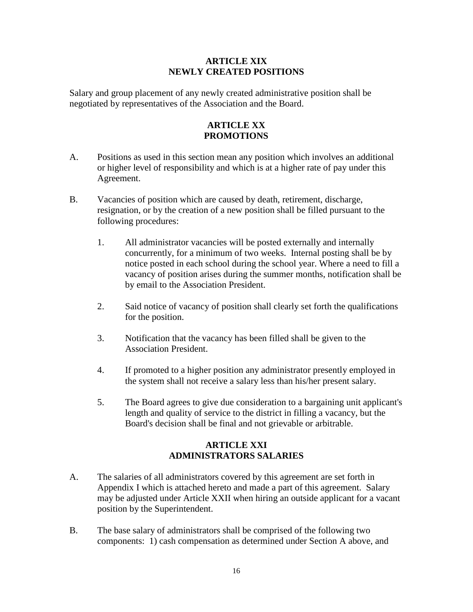### **ARTICLE XIX NEWLY CREATED POSITIONS**

Salary and group placement of any newly created administrative position shall be negotiated by representatives of the Association and the Board.

# **ARTICLE XX PROMOTIONS**

- A. Positions as used in this section mean any position which involves an additional or higher level of responsibility and which is at a higher rate of pay under this Agreement.
- B. Vacancies of position which are caused by death, retirement, discharge, resignation, or by the creation of a new position shall be filled pursuant to the following procedures:
	- 1. All administrator vacancies will be posted externally and internally concurrently, for a minimum of two weeks. Internal posting shall be by notice posted in each school during the school year. Where a need to fill a vacancy of position arises during the summer months, notification shall be by email to the Association President.
	- 2. Said notice of vacancy of position shall clearly set forth the qualifications for the position.
	- 3. Notification that the vacancy has been filled shall be given to the Association President.
	- 4. If promoted to a higher position any administrator presently employed in the system shall not receive a salary less than his/her present salary.
	- 5. The Board agrees to give due consideration to a bargaining unit applicant's length and quality of service to the district in filling a vacancy, but the Board's decision shall be final and not grievable or arbitrable.

## **ARTICLE XXI ADMINISTRATORS SALARIES**

- A. The salaries of all administrators covered by this agreement are set forth in Appendix I which is attached hereto and made a part of this agreement. Salary may be adjusted under Article XXII when hiring an outside applicant for a vacant position by the Superintendent.
- B. The base salary of administrators shall be comprised of the following two components: 1) cash compensation as determined under Section A above, and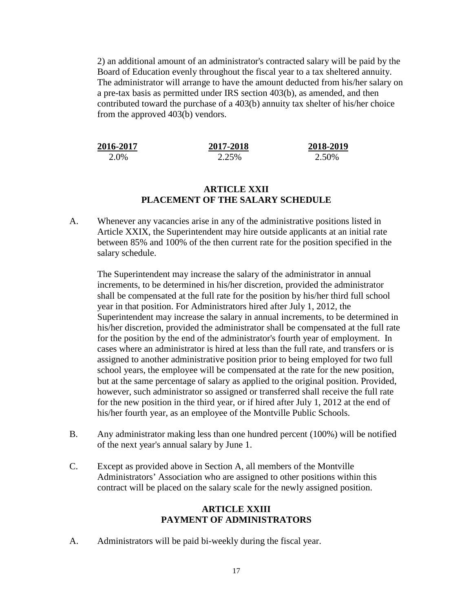2) an additional amount of an administrator's contracted salary will be paid by the Board of Education evenly throughout the fiscal year to a tax sheltered annuity. The administrator will arrange to have the amount deducted from his/her salary on a pre-tax basis as permitted under IRS section 403(b), as amended, and then contributed toward the purchase of a 403(b) annuity tax shelter of his/her choice from the approved 403(b) vendors.

| 2016-2017 | 2017-2018 | 2018-2019 |
|-----------|-----------|-----------|
| 2.0%      | 2.25%     | 2.50%     |

#### **ARTICLE XXII PLACEMENT OF THE SALARY SCHEDULE**

A. Whenever any vacancies arise in any of the administrative positions listed in Article XXIX, the Superintendent may hire outside applicants at an initial rate between 85% and 100% of the then current rate for the position specified in the salary schedule.

The Superintendent may increase the salary of the administrator in annual increments, to be determined in his/her discretion, provided the administrator shall be compensated at the full rate for the position by his/her third full school year in that position. For Administrators hired after July 1, 2012, the Superintendent may increase the salary in annual increments, to be determined in his/her discretion, provided the administrator shall be compensated at the full rate for the position by the end of the administrator's fourth year of employment. In cases where an administrator is hired at less than the full rate, and transfers or is assigned to another administrative position prior to being employed for two full school years, the employee will be compensated at the rate for the new position, but at the same percentage of salary as applied to the original position. Provided, however, such administrator so assigned or transferred shall receive the full rate for the new position in the third year, or if hired after July 1, 2012 at the end of his/her fourth year, as an employee of the Montville Public Schools.

- B. Any administrator making less than one hundred percent (100%) will be notified of the next year's annual salary by June 1.
- C. Except as provided above in Section A, all members of the Montville Administrators' Association who are assigned to other positions within this contract will be placed on the salary scale for the newly assigned position.

#### **ARTICLE XXIII PAYMENT OF ADMINISTRATORS**

A. Administrators will be paid bi-weekly during the fiscal year.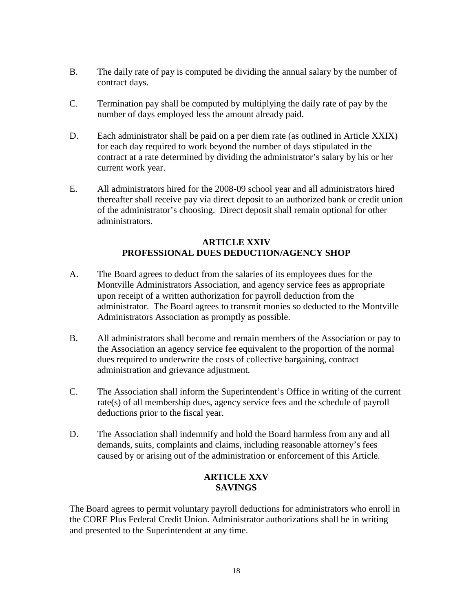- B. The daily rate of pay is computed be dividing the annual salary by the number of contract days.
- C. Termination pay shall be computed by multiplying the daily rate of pay by the number of days employed less the amount already paid.
- D. Each administrator shall be paid on a per diem rate (as outlined in Article XXIX) for each day required to work beyond the number of days stipulated in the contract at a rate determined by dividing the administrator's salary by his or her current work year.
- E. All administrators hired for the 2008-09 school year and all administrators hired thereafter shall receive pay via direct deposit to an authorized bank or credit union of the administrator's choosing. Direct deposit shall remain optional for other administrators.

## **ARTICLE XXIV PROFESSIONAL DUES DEDUCTION/AGENCY SHOP**

- A. The Board agrees to deduct from the salaries of its employees dues for the Montville Administrators Association, and agency service fees as appropriate upon receipt of a written authorization for payroll deduction from the administrator. The Board agrees to transmit monies so deducted to the Montville Administrators Association as promptly as possible.
- B. All administrators shall become and remain members of the Association or pay to the Association an agency service fee equivalent to the proportion of the normal dues required to underwrite the costs of collective bargaining, contract administration and grievance adjustment.
- C. The Association shall inform the Superintendent's Office in writing of the current rate(s) of all membership dues, agency service fees and the schedule of payroll deductions prior to the fiscal year.
- D. The Association shall indemnify and hold the Board harmless from any and all demands, suits, complaints and claims, including reasonable attorney's fees caused by or arising out of the administration or enforcement of this Article.

## **ARTICLE XXV SAVINGS**

The Board agrees to permit voluntary payroll deductions for administrators who enroll in the CORE Plus Federal Credit Union. Administrator authorizations shall be in writing and presented to the Superintendent at any time.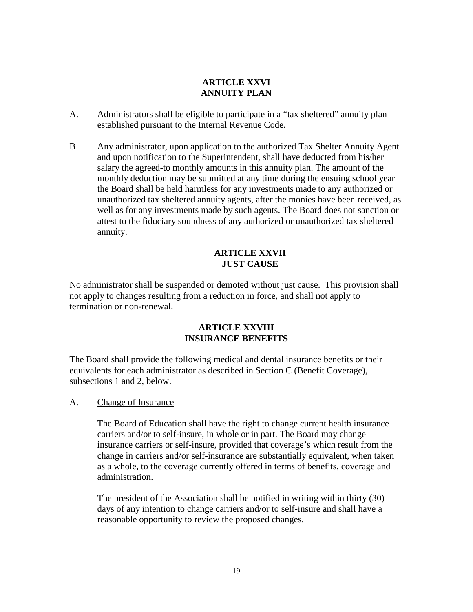## **ARTICLE XXVI ANNUITY PLAN**

- A. Administrators shall be eligible to participate in a "tax sheltered" annuity plan established pursuant to the Internal Revenue Code.
- B Any administrator, upon application to the authorized Tax Shelter Annuity Agent and upon notification to the Superintendent, shall have deducted from his/her salary the agreed-to monthly amounts in this annuity plan. The amount of the monthly deduction may be submitted at any time during the ensuing school year the Board shall be held harmless for any investments made to any authorized or unauthorized tax sheltered annuity agents, after the monies have been received, as well as for any investments made by such agents. The Board does not sanction or attest to the fiduciary soundness of any authorized or unauthorized tax sheltered annuity.

## **ARTICLE XXVII JUST CAUSE**

No administrator shall be suspended or demoted without just cause. This provision shall not apply to changes resulting from a reduction in force, and shall not apply to termination or non-renewal.

## **ARTICLE XXVIII INSURANCE BENEFITS**

The Board shall provide the following medical and dental insurance benefits or their equivalents for each administrator as described in Section C (Benefit Coverage), subsections 1 and 2, below.

#### A. Change of Insurance

The Board of Education shall have the right to change current health insurance carriers and/or to self-insure, in whole or in part. The Board may change insurance carriers or self-insure, provided that coverage's which result from the change in carriers and/or self-insurance are substantially equivalent, when taken as a whole, to the coverage currently offered in terms of benefits, coverage and administration.

The president of the Association shall be notified in writing within thirty (30) days of any intention to change carriers and/or to self-insure and shall have a reasonable opportunity to review the proposed changes.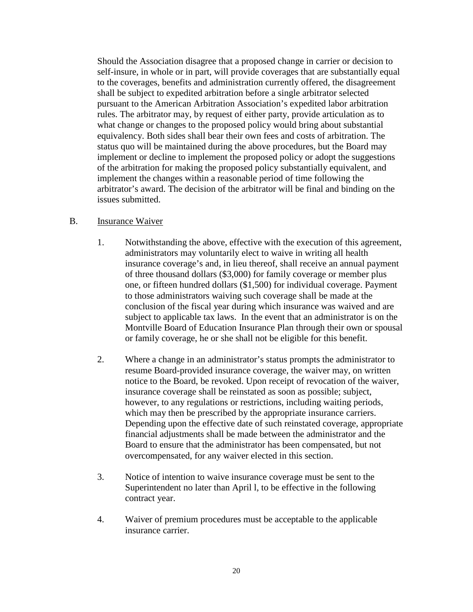Should the Association disagree that a proposed change in carrier or decision to self-insure, in whole or in part, will provide coverages that are substantially equal to the coverages, benefits and administration currently offered, the disagreement shall be subject to expedited arbitration before a single arbitrator selected pursuant to the American Arbitration Association's expedited labor arbitration rules. The arbitrator may, by request of either party, provide articulation as to what change or changes to the proposed policy would bring about substantial equivalency. Both sides shall bear their own fees and costs of arbitration. The status quo will be maintained during the above procedures, but the Board may implement or decline to implement the proposed policy or adopt the suggestions of the arbitration for making the proposed policy substantially equivalent, and implement the changes within a reasonable period of time following the arbitrator's award. The decision of the arbitrator will be final and binding on the issues submitted.

#### B. Insurance Waiver

- 1. Notwithstanding the above, effective with the execution of this agreement, administrators may voluntarily elect to waive in writing all health insurance coverage's and, in lieu thereof, shall receive an annual payment of three thousand dollars (\$3,000) for family coverage or member plus one, or fifteen hundred dollars (\$1,500) for individual coverage. Payment to those administrators waiving such coverage shall be made at the conclusion of the fiscal year during which insurance was waived and are subject to applicable tax laws. In the event that an administrator is on the Montville Board of Education Insurance Plan through their own or spousal or family coverage, he or she shall not be eligible for this benefit.
- 2. Where a change in an administrator's status prompts the administrator to resume Board-provided insurance coverage, the waiver may, on written notice to the Board, be revoked. Upon receipt of revocation of the waiver, insurance coverage shall be reinstated as soon as possible; subject, however, to any regulations or restrictions, including waiting periods, which may then be prescribed by the appropriate insurance carriers. Depending upon the effective date of such reinstated coverage, appropriate financial adjustments shall be made between the administrator and the Board to ensure that the administrator has been compensated, but not overcompensated, for any waiver elected in this section.
- 3. Notice of intention to waive insurance coverage must be sent to the Superintendent no later than April l, to be effective in the following contract year.
- 4. Waiver of premium procedures must be acceptable to the applicable insurance carrier.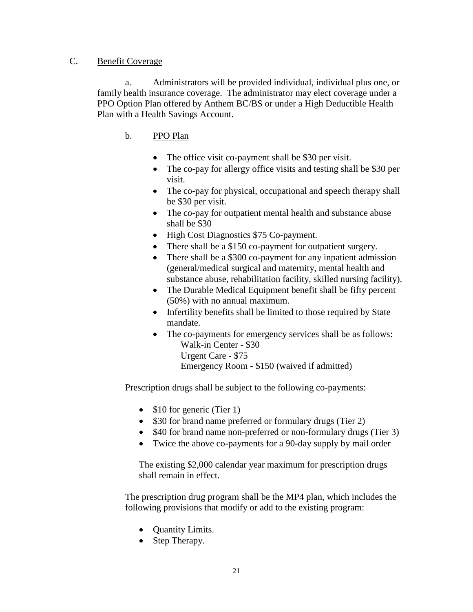## C. Benefit Coverage

a. Administrators will be provided individual, individual plus one, or family health insurance coverage. The administrator may elect coverage under a PPO Option Plan offered by Anthem BC/BS or under a High Deductible Health Plan with a Health Savings Account.

## b. PPO Plan

- The office visit co-payment shall be \$30 per visit.
- The co-pay for allergy office visits and testing shall be \$30 per visit.
- The co-pay for physical, occupational and speech therapy shall be \$30 per visit.
- The co-pay for outpatient mental health and substance abuse shall be \$30
- High Cost Diagnostics \$75 Co-payment.
- There shall be a \$150 co-payment for outpatient surgery.
- There shall be a \$300 co-payment for any inpatient admission (general/medical surgical and maternity, mental health and substance abuse, rehabilitation facility, skilled nursing facility).
- The Durable Medical Equipment benefit shall be fifty percent (50%) with no annual maximum.
- Infertility benefits shall be limited to those required by State mandate.
- The co-payments for emergency services shall be as follows: Walk-in Center - \$30 Urgent Care - \$75

Emergency Room - \$150 (waived if admitted)

Prescription drugs shall be subject to the following co-payments:

- \$10 for generic (Tier 1)
- \$30 for brand name preferred or formulary drugs (Tier 2)
- \$40 for brand name non-preferred or non-formulary drugs (Tier 3)
- Twice the above co-payments for a 90-day supply by mail order

The existing \$2,000 calendar year maximum for prescription drugs shall remain in effect.

The prescription drug program shall be the MP4 plan, which includes the following provisions that modify or add to the existing program:

- **Quantity Limits.**
- Step Therapy.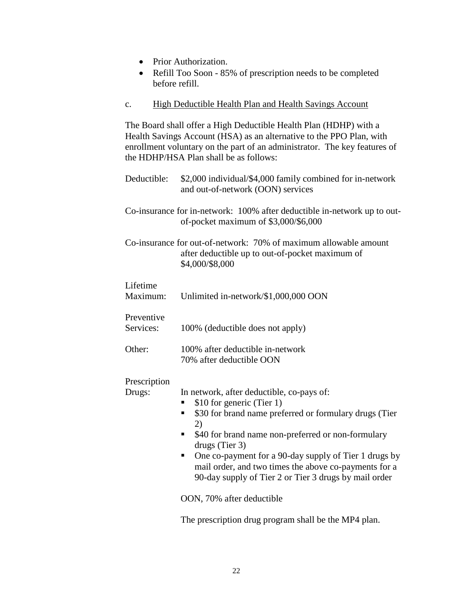- Prior Authorization.
- Refill Too Soon 85% of prescription needs to be completed before refill.

#### c. High Deductible Health Plan and Health Savings Account

The Board shall offer a High Deductible Health Plan (HDHP) with a Health Savings Account (HSA) as an alternative to the PPO Plan, with enrollment voluntary on the part of an administrator. The key features of the HDHP/HSA Plan shall be as follows:

- Deductible: \$2,000 individual/\$4,000 family combined for in-network and out-of-network (OON) services
- Co-insurance for in-network: 100% after deductible in-network up to outof-pocket maximum of \$3,000/\$6,000
- Co-insurance for out-of-network: 70% of maximum allowable amount after deductible up to out-of-pocket maximum of \$4,000/\$8,000

| Lifetime<br>Maximum:    | Unlimited in-network/\$1,000,000 OON                                                                                                                                                                                                                                                                                                                                                                                                     |
|-------------------------|------------------------------------------------------------------------------------------------------------------------------------------------------------------------------------------------------------------------------------------------------------------------------------------------------------------------------------------------------------------------------------------------------------------------------------------|
| Preventive<br>Services: | 100% (deductible does not apply)                                                                                                                                                                                                                                                                                                                                                                                                         |
| Other:                  | 100% after deductible in-network<br>70% after deductible OON                                                                                                                                                                                                                                                                                                                                                                             |
| Prescription<br>Drugs:  | In network, after deductible, co-pays of:<br>\$10 for generic (Tier 1)<br>п<br>\$30 for brand name preferred or formulary drugs (Tier<br>٠<br>2)<br>\$40 for brand name non-preferred or non-formulary<br>п<br>drugs (Tier $3$ )<br>One co-payment for a 90-day supply of Tier 1 drugs by<br>mail order, and two times the above co-payments for a<br>90-day supply of Tier 2 or Tier 3 drugs by mail order<br>OON, 70% after deductible |

The prescription drug program shall be the MP4 plan.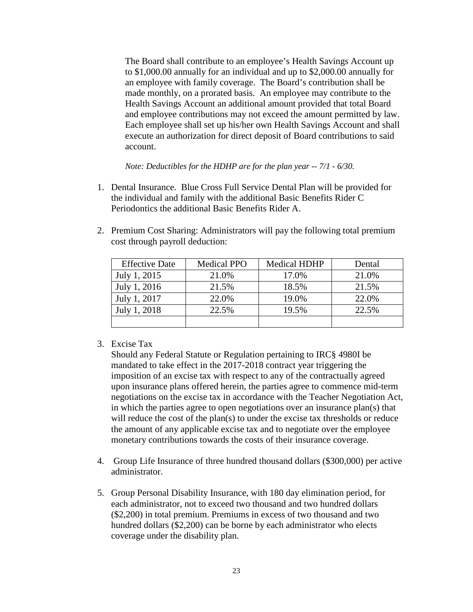The Board shall contribute to an employee's Health Savings Account up to \$1,000.00 annually for an individual and up to \$2,000.00 annually for an employee with family coverage. The Board's contribution shall be made monthly, on a prorated basis. An employee may contribute to the Health Savings Account an additional amount provided that total Board and employee contributions may not exceed the amount permitted by law. Each employee shall set up his/her own Health Savings Account and shall execute an authorization for direct deposit of Board contributions to said account.

*Note: Deductibles for the HDHP are for the plan year -- 7/1 - 6/30.*

- 1. Dental Insurance. Blue Cross Full Service Dental Plan will be provided for the individual and family with the additional Basic Benefits Rider C Periodontics the additional Basic Benefits Rider A.
- 2. Premium Cost Sharing: Administrators will pay the following total premium cost through payroll deduction:

| <b>Effective Date</b> | <b>Medical PPO</b> | <b>Medical HDHP</b> | Dental |
|-----------------------|--------------------|---------------------|--------|
| July 1, 2015          | 21.0%              | 17.0%               | 21.0%  |
| July 1, 2016          | 21.5%              | 18.5%               | 21.5%  |
| July 1, 2017          | 22.0%              | 19.0%               | 22.0%  |
| July 1, 2018          | 22.5%              | 19.5%               | 22.5%  |
|                       |                    |                     |        |

#### 3. Excise Tax

Should any Federal Statute or Regulation pertaining to IRC§ 4980I be mandated to take effect in the 2017-2018 contract year triggering the imposition of an excise tax with respect to any of the contractually agreed upon insurance plans offered herein, the parties agree to commence mid-term negotiations on the excise tax in accordance with the Teacher Negotiation Act, in which the parties agree to open negotiations over an insurance plan(s) that will reduce the cost of the plan(s) to under the excise tax thresholds or reduce the amount of any applicable excise tax and to negotiate over the employee monetary contributions towards the costs of their insurance coverage.

- 4. Group Life Insurance of three hundred thousand dollars (\$300,000) per active administrator.
- 5. Group Personal Disability Insurance, with 180 day elimination period, for each administrator, not to exceed two thousand and two hundred dollars (\$2,200) in total premium. Premiums in excess of two thousand and two hundred dollars (\$2,200) can be borne by each administrator who elects coverage under the disability plan.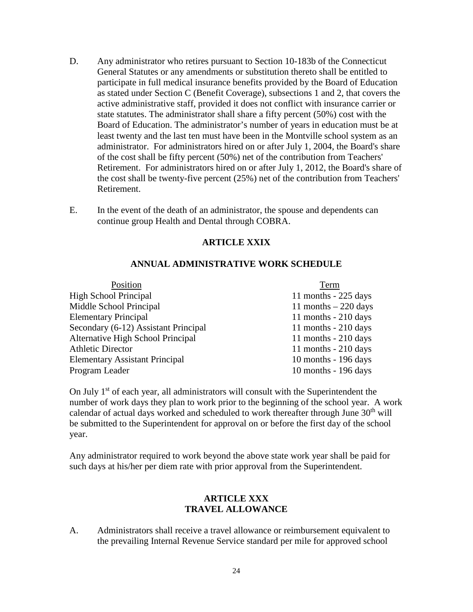- D. Any administrator who retires pursuant to Section 10-183b of the Connecticut General Statutes or any amendments or substitution thereto shall be entitled to participate in full medical insurance benefits provided by the Board of Education as stated under Section C (Benefit Coverage), subsections 1 and 2, that covers the active administrative staff, provided it does not conflict with insurance carrier or state statutes. The administrator shall share a fifty percent (50%) cost with the Board of Education. The administrator's number of years in education must be at least twenty and the last ten must have been in the Montville school system as an administrator. For administrators hired on or after July 1, 2004, the Board's share of the cost shall be fifty percent (50%) net of the contribution from Teachers' Retirement. For administrators hired on or after July 1, 2012, the Board's share of the cost shall be twenty-five percent (25%) net of the contribution from Teachers' Retirement.
- E. In the event of the death of an administrator, the spouse and dependents can continue group Health and Dental through COBRA.

## **ARTICLE XXIX**

#### **ANNUAL ADMINISTRATIVE WORK SCHEDULE**

| Position                              | Term                   |
|---------------------------------------|------------------------|
| <b>High School Principal</b>          | 11 months - $225$ days |
| Middle School Principal               | 11 months $-220$ days  |
| <b>Elementary Principal</b>           | 11 months $-210$ days  |
| Secondary (6-12) Assistant Principal  | 11 months $-210$ days  |
| Alternative High School Principal     | 11 months $-210$ days  |
| <b>Athletic Director</b>              | 11 months $-210$ days  |
| <b>Elementary Assistant Principal</b> | 10 months - 196 days   |
| Program Leader                        | 10 months - 196 days   |

On July  $1<sup>st</sup>$  of each year, all administrators will consult with the Superintendent the number of work days they plan to work prior to the beginning of the school year. A work calendar of actual days worked and scheduled to work thereafter through June  $30<sup>th</sup>$  will be submitted to the Superintendent for approval on or before the first day of the school year.

Any administrator required to work beyond the above state work year shall be paid for such days at his/her per diem rate with prior approval from the Superintendent.

#### **ARTICLE XXX TRAVEL ALLOWANCE**

A. Administrators shall receive a travel allowance or reimbursement equivalent to the prevailing Internal Revenue Service standard per mile for approved school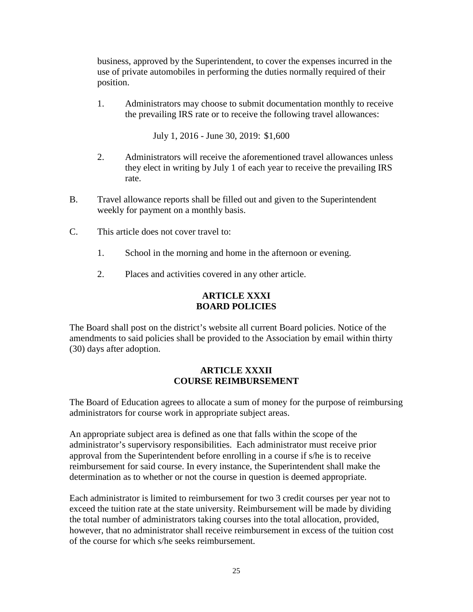business, approved by the Superintendent, to cover the expenses incurred in the use of private automobiles in performing the duties normally required of their position.

1. Administrators may choose to submit documentation monthly to receive the prevailing IRS rate or to receive the following travel allowances:

July 1, 2016 - June 30, 2019: \$1,600

- 2. Administrators will receive the aforementioned travel allowances unless they elect in writing by July 1 of each year to receive the prevailing IRS rate.
- B. Travel allowance reports shall be filled out and given to the Superintendent weekly for payment on a monthly basis.
- C. This article does not cover travel to:
	- 1. School in the morning and home in the afternoon or evening.
	- 2. Places and activities covered in any other article.

## **ARTICLE XXXI BOARD POLICIES**

The Board shall post on the district's website all current Board policies. Notice of the amendments to said policies shall be provided to the Association by email within thirty (30) days after adoption.

## **ARTICLE XXXII COURSE REIMBURSEMENT**

The Board of Education agrees to allocate a sum of money for the purpose of reimbursing administrators for course work in appropriate subject areas.

An appropriate subject area is defined as one that falls within the scope of the administrator's supervisory responsibilities. Each administrator must receive prior approval from the Superintendent before enrolling in a course if s/he is to receive reimbursement for said course. In every instance, the Superintendent shall make the determination as to whether or not the course in question is deemed appropriate.

Each administrator is limited to reimbursement for two 3 credit courses per year not to exceed the tuition rate at the state university. Reimbursement will be made by dividing the total number of administrators taking courses into the total allocation, provided, however, that no administrator shall receive reimbursement in excess of the tuition cost of the course for which s/he seeks reimbursement.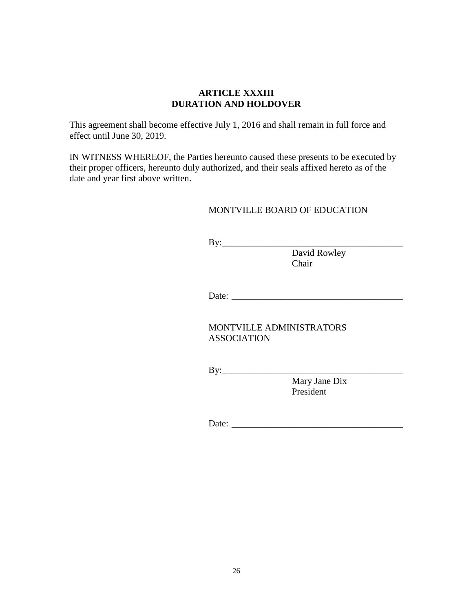#### **ARTICLE XXXIII DURATION AND HOLDOVER**

This agreement shall become effective July 1, 2016 and shall remain in full force and effect until June 30, 2019.

IN WITNESS WHEREOF, the Parties hereunto caused these presents to be executed by their proper officers, hereunto duly authorized, and their seals affixed hereto as of the date and year first above written.

#### MONTVILLE BOARD OF EDUCATION

 $By:$ 

David Rowley Chair

Date: \_\_\_\_\_\_\_\_\_\_\_\_\_\_\_\_\_\_\_\_\_\_\_\_\_\_\_\_\_\_\_\_\_\_\_\_\_

MONTVILLE ADMINISTRATORS ASSOCIATION

By:\_\_\_\_\_\_\_\_\_\_\_\_\_\_\_\_\_\_\_\_\_\_\_\_\_\_\_\_\_\_\_\_\_\_\_\_\_\_\_

Mary Jane Dix President

Date: \_\_\_\_\_\_\_\_\_\_\_\_\_\_\_\_\_\_\_\_\_\_\_\_\_\_\_\_\_\_\_\_\_\_\_\_\_